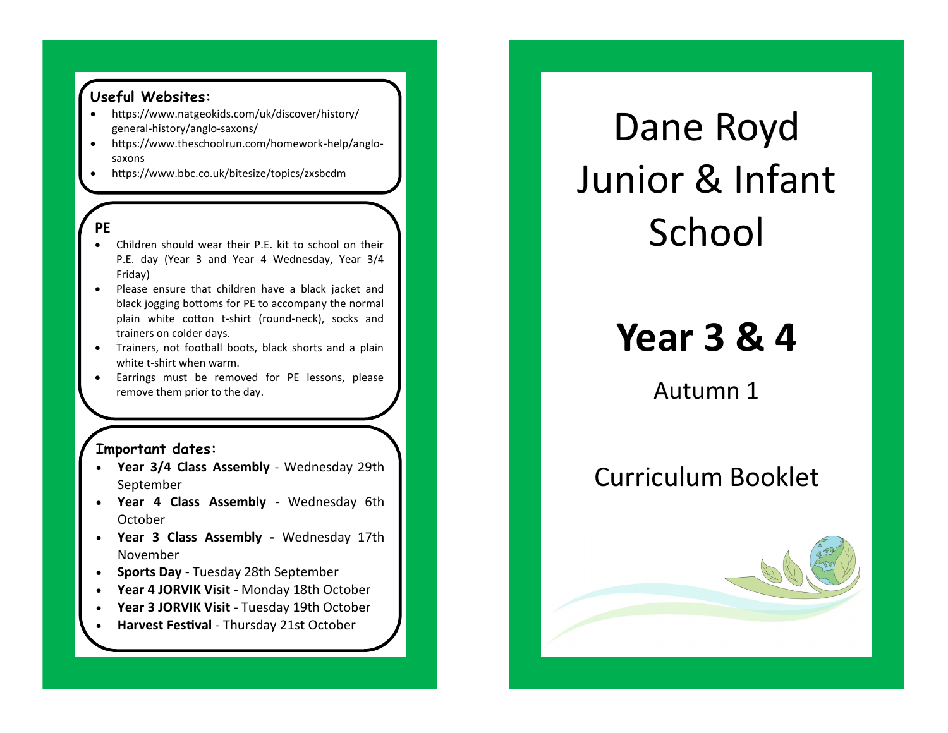### **Useful Websites:**

- https://www.natgeokids.com/uk/discover/history/ general-history/anglo-saxons/
- https://www.theschoolrun.com/homework-help/anglosaxons
- https://www.bbc.co.uk/bitesize/topics/zxsbcdm

#### **PE**

- Children should wear their P.E. kit to school on their P.E. day (Year 3 and Year 4 Wednesday, Year 3/4 Friday)
- Please ensure that children have a black jacket and black jogging bottoms for PE to accompany the normal plain white cotton t-shirt (round-neck), socks and trainers on colder days.
- Trainers, not football boots, black shorts and a plain white t-shirt when warm.
- Earrings must be removed for PE lessons, please remove them prior to the day.

### **Important dates:**

- **Year 3/4 Class Assembly** Wednesday 29th September
- **Year 4 Class Assembly**  Wednesday 6th October
- **Year 3 Class Assembly -** Wednesday 17th November
- **Sports Day**  Tuesday 28th September
- **Year 4 JORVIK Visit**  Monday 18th October
- **Year 3 JORVIK Visit** Tuesday 19th October
- **Harvest Festival** Thursday 21st October

# Dane Royd Junior & Infant School

## **Year 3 & 4**

Autumn 1

### Curriculum Booklet